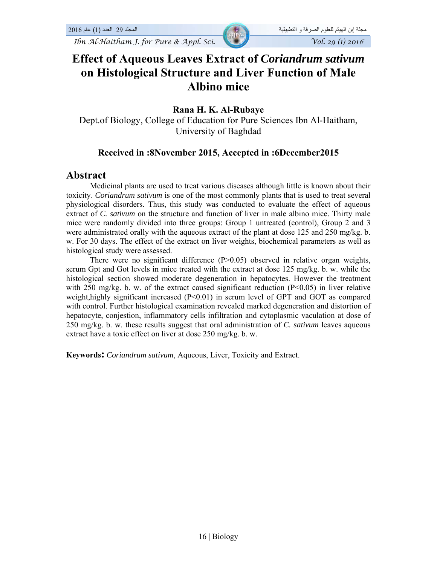*Ibn Al-Haitham J. for Pure & Appl. Sci.*  $\sqrt{Vol. 29 (1) 2016}$ 

# **Effect of Aqueous Leaves Extract of** *Coriandrum sativum*  **on Histological Structure and Liver Function of Male Albino mice**

#### **Rana H. K. Al-Rubaye**

Dept.of Biology, College of Education for Pure Sciences Ibn Al-Haitham, University of Baghdad

#### **Received in :8November 2015, Accepted in :6December2015**

#### **Abstract**

Medicinal plants are used to treat various diseases although little is known about their toxicity. *Coriandrum sativum* is one of the most commonly plants that is used to treat several physiological disorders. Thus, this study was conducted to evaluate the effect of aqueous extract of *C. sativum* on the structure and function of liver in male albino mice. Thirty male mice were randomly divided into three groups: Group 1 untreated (control), Group 2 and 3 were administrated orally with the aqueous extract of the plant at dose 125 and 250 mg/kg. b. w. For 30 days. The effect of the extract on liver weights, biochemical parameters as well as histological study were assessed.

There were no significant difference  $(P>0.05)$  observed in relative organ weights, serum Gpt and Got levels in mice treated with the extract at dose 125 mg/kg. b. w. while the histological section showed moderate degeneration in hepatocytes. However the treatment with 250 mg/kg. b. w. of the extract caused significant reduction ( $P<0.05$ ) in liver relative weight,highly significant increased (P<0.01) in serum level of GPT and GOT as compared with control. Further histological examination revealed marked degeneration and distortion of hepatocyte, conjestion, inflammatory cells infiltration and cytoplasmic vaculation at dose of 250 mg/kg. b. w. these results suggest that oral administration of *C. sativum* leaves aqueous extract have a toxic effect on liver at dose 250 mg/kg. b. w.

**Keywords:** *Coriandrum sativum*, Aqueous, Liver, Toxicity and Extract.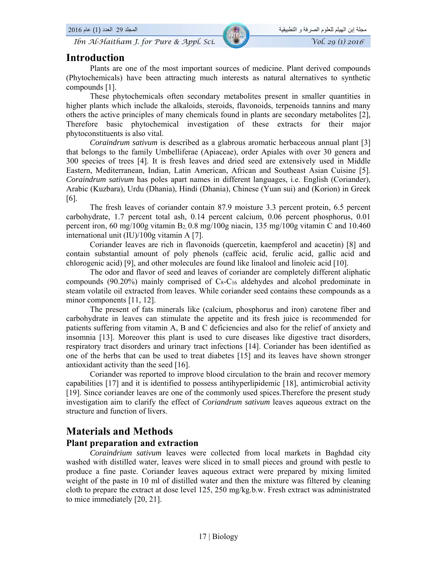# **Introduction**

Plants are one of the most important sources of medicine. Plant derived compounds (Phytochemicals) have been attracting much interests as natural alternatives to synthetic compounds [1].

These phytochemicals often secondary metabolites present in smaller quantities in higher plants which include the alkaloids, steroids, flavonoids, terpenoids tannins and many others the active principles of many chemicals found in plants are secondary metabolites [2], Therefore basic phytochemical investigation of these extracts for their major phytoconstituents is also vital.

*Coraindrum sativum* is described as a glabrous aromatic herbaceous annual plant [3] that belongs to the family Umbelliferae (Apiaceae), order Apiales with over 30 genera and 300 species of trees [4]. It is fresh leaves and dried seed are extensively used in Middle Eastern, Mediterranean, Indian, Latin American, African and Southeast Asian Cuisine [5]. *Coraindrum sativum* has poles apart names in different languages, i.e. English (Coriander), Arabic (Kuzbara), Urdu (Dhania), Hindi (Dhania), Chinese (Yuan sui) and (Korion) in Greek [6].

The fresh leaves of coriander contain 87.9 moisture 3.3 percent protein, 6.5 percent carbohydrate, 1.7 percent total ash, 0.14 percent calcium, 0.06 percent phosphorus, 0.01 percent iron, 60 mg/100g vitamin B2, 0.8 mg/100g niacin, 135 mg/100g vitamin C and 10.460 international unit (IU)/100g vitamin A [7].

Coriander leaves are rich in flavonoids (quercetin, kaempferol and acacetin) [8] and contain substantial amount of poly phenols (caffeic acid, ferulic acid, gallic acid and chlorogenic acid) [9], and other molecules are found like linalool and linoleic acid [10].

The odor and flavor of seed and leaves of coriander are completely different aliphatic compounds (90.20%) mainly comprised of  $C_8-C_{16}$  aldehydes and alcohol predominate in steam volatile oil extracted from leaves. While coriander seed contains these compounds as a minor components [11, 12].

The present of fats minerals like (calcium, phosphorus and iron) carotene fiber and carbohydrate in leaves can stimulate the appetite and its fresh juice is recommended for patients suffering from vitamin A, B and C deficiencies and also for the relief of anxiety and insomnia [13]. Moreover this plant is used to cure diseases like digestive tract disorders, respiratory tract disorders and urinary tract infections [14]. Coriander has been identified as one of the herbs that can be used to treat diabetes [15] and its leaves have shown stronger antioxidant activity than the seed [16].

Coriander was reported to improve blood circulation to the brain and recover memory capabilities [17] and it is identified to possess antihyperlipidemic [18], antimicrobial activity [19]. Since coriander leaves are one of the commonly used spices.Therefore the present study investigation aim to clarify the effect of *Coriandrum sativum* leaves aqueous extract on the structure and function of livers.

# **Materials and Methods**

#### **Plant preparation and extraction**

*Coraindrium sativum* leaves were collected from local markets in Baghdad city washed with distilled water, leaves were sliced in to small pieces and ground with pestle to produce a fine paste. Coriander leaves aqueous extract were prepared by mixing limited weight of the paste in 10 ml of distilled water and then the mixture was filtered by cleaning cloth to prepare the extract at dose level 125, 250 mg/kg.b.w. Fresh extract was administrated to mice immediately [20, 21].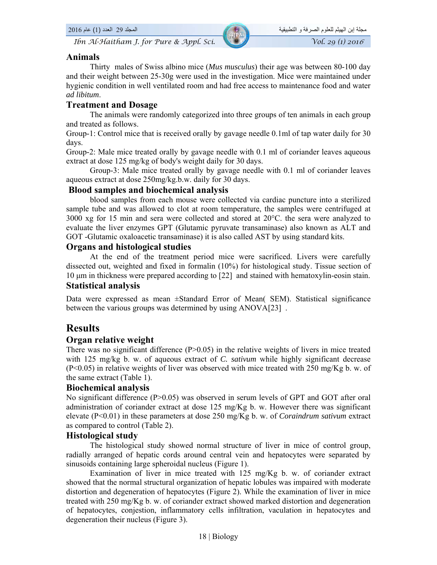#### **Animals**

Thirty males of Swiss albino mice (*Mus musculus*) their age was between 80-100 day and their weight between 25-30g were used in the investigation. Mice were maintained under hygienic condition in well ventilated room and had free access to maintenance food and water *ad libitum*.

#### **Treatment and Dosage**

The animals were randomly categorized into three groups of ten animals in each group and treated as follows.

Group-1: Control mice that is received orally by gavage needle 0.1ml of tap water daily for 30 days.

Group-2: Male mice treated orally by gavage needle with 0.1 ml of coriander leaves aqueous extract at dose 125 mg/kg of body's weight daily for 30 days.

Group-3: Male mice treated orally by gavage needle with 0.1 ml of coriander leaves aqueous extract at dose 250mg/kg.b.w. daily for 30 days.

#### **Blood samples and biochemical analysis**

blood samples from each mouse were collected via cardiac puncture into a sterilized sample tube and was allowed to clot at room temperature, the samples were centrifuged at  $3000 \times g$  for 15 min and sera were collected and stored at  $20^{\circ}$ C. the sera were analyzed to evaluate the liver enzymes GPT (Glutamic pyruvate transaminase) also known as ALT and GOT -Glutamic oxaloacetic transaminase) it is also called AST by using standard kits.

#### **Organs and histological studies**

At the end of the treatment period mice were sacrificed. Livers were carefully dissected out, weighted and fixed in formalin (10%) for histological study. Tissue section of 10 μm in thickness were prepared according to [22] and stained with hematoxylin-eosin stain. **Statistical analysis** 

Data were expressed as mean ±Standard Error of Mean( SEM). Statistical significance between the various groups was determined by using ANOVA[23] .

# **Results**

#### **Organ relative weight**

There was no significant difference (P>0.05) in the relative weights of livers in mice treated with 125 mg/kg b. w. of aqueous extract of *C. sativum* while highly significant decrease  $(P<0.05)$  in relative weights of liver was observed with mice treated with 250 mg/Kg b. w. of the same extract (Table 1).

#### **Biochemical analysis**

No significant difference (P>0.05) was observed in serum levels of GPT and GOT after oral administration of coriander extract at dose 125 mg/Kg b. w. However there was significant elevate (P<0.01) in these parameters at dose 250 mg/Kg b. w. of *Coraindrum sativum* extract as compared to control (Table 2).

#### **Histological study**

The histological study showed normal structure of liver in mice of control group, radially arranged of hepatic cords around central vein and hepatocytes were separated by sinusoids containing large spheroidal nucleus (Figure 1).

Examination of liver in mice treated with 125 mg/Kg b. w. of coriander extract showed that the normal structural organization of hepatic lobules was impaired with moderate distortion and degeneration of hepatocytes (Figure 2). While the examination of liver in mice treated with 250 mg/Kg b. w. of coriander extract showed marked distortion and degeneration of hepatocytes, conjestion, inflammatory cells infiltration, vaculation in hepatocytes and degeneration their nucleus (Figure 3).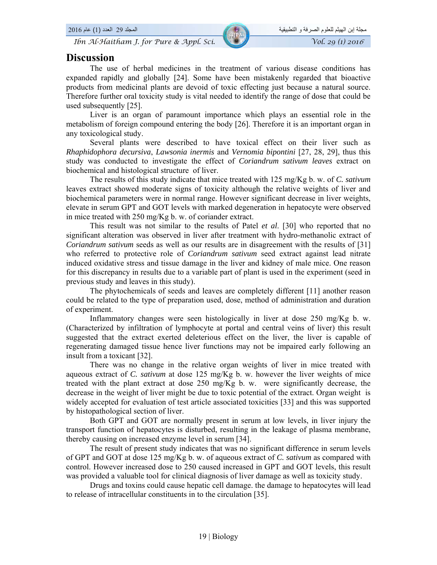## **Discussion**

The use of herbal medicines in the treatment of various disease conditions has expanded rapidly and globally [24]. Some have been mistakenly regarded that bioactive products from medicinal plants are devoid of toxic effecting just because a natural source. Therefore further oral toxicity study is vital needed to identify the range of dose that could be used subsequently [25].

Liver is an organ of paramount importance which plays an essential role in the metabolism of foreign compound entering the body [26]. Therefore it is an important organ in any toxicological study.

Several plants were described to have toxical effect on their liver such as *Rhaphidophora decursiva*, *Lawsonia inermis* and *Vernomia bipontini* [27, 28, 29], thus this study was conducted to investigate the effect of *Coriandrum sativum leaves* extract on biochemical and histological structure of liver.

The results of this study indicate that mice treated with 125 mg/Kg b. w. of *C. sativum*  leaves extract showed moderate signs of toxicity although the relative weights of liver and biochemical parameters were in normal range. However significant decrease in liver weights, elevate in serum GPT and GOT levels with marked degeneration in hepatocyte were observed in mice treated with 250 mg/Kg b. w. of coriander extract.

This result was not similar to the results of Patel *et al*. [30] who reported that no significant alteration was observed in liver after treatment with hydro-methanolic extract of *Coriandrum sativum* seeds as well as our results are in disagreement with the results of [31] who referred to protective role of *Coriandrum sativum* seed extract against lead nitrate induced oxidative stress and tissue damage in the liver and kidney of male mice. One reason for this discrepancy in results due to a variable part of plant is used in the experiment (seed in previous study and leaves in this study).

The phytochemicals of seeds and leaves are completely different [11] another reason could be related to the type of preparation used, dose, method of administration and duration of experiment.

Inflammatory changes were seen histologically in liver at dose 250 mg/Kg b. w. (Characterized by infiltration of lymphocyte at portal and central veins of liver) this result suggested that the extract exerted deleterious effect on the liver, the liver is capable of regenerating damaged tissue hence liver functions may not be impaired early following an insult from a toxicant [32].

There was no change in the relative organ weights of liver in mice treated with aqueous extract of *C. sativum* at dose 125 mg/Kg b. w. however the liver weights of mice treated with the plant extract at dose 250 mg/Kg b. w. were significantly decrease, the decrease in the weight of liver might be due to toxic potential of the extract. Organ weight is widely accepted for evaluation of test article associated toxicities [33] and this was supported by histopathological section of liver.

Both GPT and GOT are normally present in serum at low levels, in liver injury the transport function of hepatocytes is disturbed, resulting in the leakage of plasma membrane, thereby causing on increased enzyme level in serum [34].

The result of present study indicates that was no significant difference in serum levels of GPT and GOT at dose 125 mg/Kg b. w. of aqueous extract of *C. sativum* as compared with control. However increased dose to 250 caused increased in GPT and GOT levels, this result was provided a valuable tool for clinical diagnosis of liver damage as well as toxicity study.

Drugs and toxins could cause hepatic cell damage. the damage to hepatocytes will lead to release of intracellular constituents in to the circulation [35].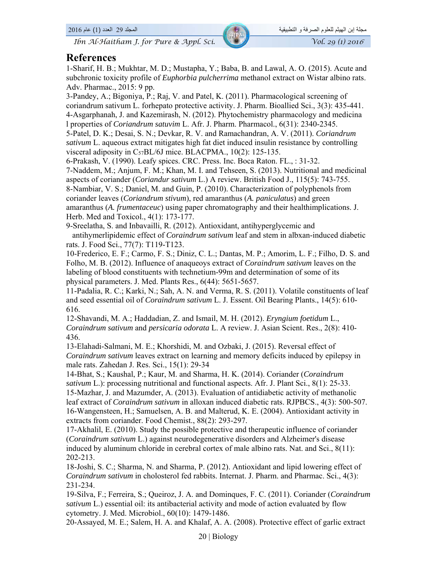## **References**

1-Sharif, H. B.; Mukhtar, M. D.; Mustapha, Y.; Baba, B. and Lawal, A. O. (2015). Acute and subchronic toxicity profile of *Euphorbia pulcherrima* methanol extract on Wistar albino rats. Adv. Pharmac., 2015: 9 pp.

3-Pandey, A.; Bigoniya, P.; Raj, V. and Patel, K. (2011). Pharmacological screening of coriandrum sativum L. forhepato protective activity. J. Pharm. Bioallied Sci., 3(3): 435-441. 4-Asgarphanah, J. and Kazemirash, N. (2012). Phytochemistry pharmacology and medicina l properties of *Coriandrum satuvim* L. Afr. J. Pharm. Pharmacol., 6(31): 2340-2345.

5-Patel, D. K.; Desai, S. N.; Devkar, R. V. and Ramachandran, A. V. (2011). *Coriandrum sativum* L. aqueous extract mitigates high fat diet induced insulin resistance by controlling visceral adiposity in C57BL/6J mice. BLACPMA., 10(2): 125-135.

6-Prakash, V. (1990). Leafy spices. CRC. Press. Inc. Boca Raton. FL., : 31-32.

7-Naddem, M.; Anjum, F. M.; Khan, M. I. and Tehseen, S. (2013). Nutritional and medicinal aspects of coriander (*Coriandur sativum* L.) A review. British Food J., 115(5): 743-755. 8-Nambiar, V. S.; Daniel, M. and Guin, P. (2010). Characterization of polyphenols from coriander leaves (*Coriandrum stivum*), red amaranthus (*A. paniculatus*) and green amaranthus (*A. frumentaceuc*) using paper chromatography and their healthimplications. J. Herb. Med and Toxicol., 4(1): 173-177.

9-Sreelatha, S. and Inbavailli, R. (2012). Antioxidant, antihyperglycemic and antihymerlipidemic effect of *Coraindrum sativum* leaf and stem in albxan-induced diabetic rats. J. Food Sci., 77(7): T119-T123.

10-Frederico, E. F.; Carmo, F. S.; Diniz, C. L.; Dantas, M. P.; Amorim, L. F.; Filho, D. S. and Folho, M. B. (2012). Influence of anaqueoys extract of *Coraindrum sativum* leaves on the labeling of blood constituents with technetium-99m and determination of some of its physical parameters. J. Med. Plants Res., 6(44): 5651-5657.

11-Padalia, R. C.; Karki, N.; Sah, A. N. and Verma, R. S. (2011). Volatile constituents of leaf and seed essential oil of *Coraindrum sativum* L. J. Essent. Oil Bearing Plants., 14(5): 610- 616.

12-Shavandi, M. A.; Haddadian, Z. and Ismail, M. H. (2012). *Eryngium foetidum* L., *Coraindrum sativum* and *persicaria odorata* L. A review. J. Asian Scient. Res., 2(8): 410- 436.

13-Elahadi-Salmani, M. E.; Khorshidi, M. and Ozbaki, J. (2015). Reversal effect of *Coraindrum sativum* leaves extract on learning and memory deficits induced by epilepsy in male rats. Zahedan J. Res. Sci., 15(1): 29-34

14-Bhat, S.; Kaushal, P.; Kaur, M. and Sharma, H. K. (2014). Coriander (*Coraindrum sativum* L.): processing nutritional and functional aspects. Afr. J. Plant Sci., 8(1): 25-33. 15-Mazhar, J. and Mazumder, A. (2013). Evaluation of antidiabetic activity of methanolic leaf extract of *Coraindrum sativum* in alloxan induced diabetic rats. RJPBCS., 4(3): 500-507. 16-Wangensteen, H.; Samuelsen, A. B. and Malterud, K. E. (2004). Antioxidant activity in extracts from coriander. Food Chemist., 88(2): 293-297.

17-Akhalil, E. (2010). Study the possible protective and therapeutic influence of coriander (*Coraindrum sativum* L.) against neurodegenerative disorders and Alzheimer's disease induced by aluminum chloride in cerebral cortex of male albino rats. Nat. and Sci., 8(11): 202-213.

18-Joshi, S. C.; Sharma, N. and Sharma, P. (2012). Antioxidant and lipid lowering effect of *Coraindrum sativum* in cholosterol fed rabbits. Internat. J. Pharm. and Pharmac. Sci., 4(3): 231-234.

19-Silva, F.; Ferreira, S.; Queiroz, J. A. and Dominques, F. C. (2011). Coriander (*Coraindrum sativum* L.) essential oil: its antibacterial activity and mode of action evaluated by flow cytometry. J. Med. Microbiol., 60(10): 1479-1486.

20-Assayed, M. E.; Salem, H. A. and Khalaf, A. A. (2008). Protective effect of garlic extract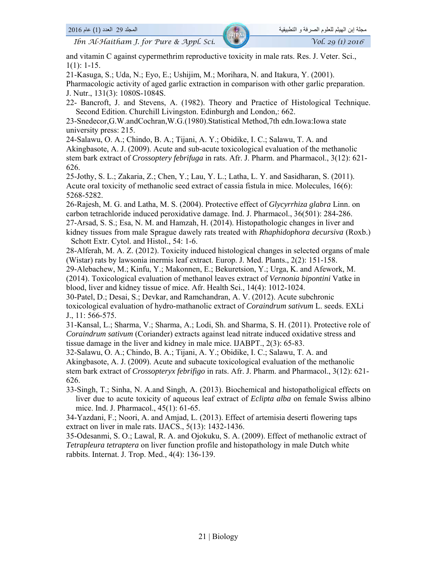and vitamin C against cypermethrim reproductive toxicity in male rats. Res. J. Veter. Sci.,  $1(1): 1-15.$ 

21-Kasuga, S.; Uda, N.; Eyo, E.; Ushijim, M.; Morihara, N. and Itakura, Y. (2001).

Pharmacologic activity of aged garlic extraction in comparison with other garlic preparation. J. Nutr., 131(3): 1080S-1084S.

22- Bancroft, J. and Stevens, A. (1982). Theory and Practice of Histological Technique. Second Edition. Churchill Livingston. Edinburgh and London,: 662.

23-Snedecor,G.W.andCochran,W.G.(1980).Statistical Method,7th edn.Iowa:Iowa state university press: 215.

24-Salawu, O. A.; Chindo, B. A.; Tijani, A. Y.; Obidike, I. C.; Salawu, T. A. and Akingbasote, A. J. (2009). Acute and sub-acute toxicological evaluation of the methanolic stem bark extract of *Crossoptery febrifuga* in rats. Afr. J. Pharm. and Pharmacol., 3(12): 621- 626.

25-Jothy, S. L.; Zakaria, Z.; Chen, Y.; Lau, Y. L.; Latha, L. Y. and Sasidharan, S. (2011). Acute oral toxicity of methanolic seed extract of cassia fistula in mice. Molecules, 16(6): 5268-5282.

26-Rajesh, M. G. and Latha, M. S. (2004). Protective effect of *Glycyrrhiza glabra* Linn. on carbon tetrachloride induced peroxidative damage. Ind. J. Pharmacol., 36(501): 284-286.

27-Arsad, S. S.; Esa, N. M. and Hamzah, H. (2014). Histopathologic changes in liver and kidney tissues from male Sprague dawely rats treated with *Rhaphidophora decursiva* (Roxb.) Schott Extr. Cytol. and Histol., 54: 1-6.

28-Alferah, M. A. Z. (2012). Toxicity induced histological changes in selected organs of male (Wistar) rats by lawsonia inermis leaf extract. Europ. J. Med. Plants., 2(2): 151-158.

29-Alebachew, M.; Kinfu, Y.; Makonnen, E.; Bekuretsion, Y.; Urga, K. and Afework, M. (2014). Toxicological evaluation of methanol leaves extract of *Vernonia bipontini* Vatke in blood, liver and kidney tissue of mice. Afr. Health Sci., 14(4): 1012-1024.

30-Patel, D.; Desai, S.; Devkar, and Ramchandran, A. V. (2012). Acute subchronic toxicological evaluation of hydro-mathanolic extract of *Coraindrum sativum* L. seeds. EXLi J., 11: 566-575.

31-Kansal, L.; Sharma, V.; Sharma, A.; Lodi, Sh. and Sharma, S. H. (2011). Protective role of *Coraindrum sativum* (Coriander) extracts against lead nitrate induced oxidative stress and tissue damage in the liver and kidney in male mice. IJABPT., 2(3): 65-83.

32-Salawu, O. A.; Chindo, B. A.; Tijani, A. Y.; Obidike, I. C.; Salawu, T. A. and Akingbasote, A. J. (2009). Acute and subacute toxicological evaluation of the methanolic stem bark extract of *Crossopteryx febrifigo* in rats. Afr. J. Pharm. and Pharmacol., 3(12): 621- 626.

33-Singh, T.; Sinha, N. A.and Singh, A. (2013). Biochemical and histopatholigical effects on liver due to acute toxicity of aqueous leaf extract of *Eclipta alba* on female Swiss albino mice. Ind. J. Pharmacol., 45(1): 61-65.

34-Yazdani, F.; Noori, A. and Amjad, L. (2013). Effect of artemisia deserti flowering taps extract on liver in male rats. IJACS., 5(13): 1432-1436.

35-Odesanmi, S. O.; Lawal, R. A. and Ojokuku, S. A. (2009). Effect of methanolic extract of *Tetrapleura tetraptera* on liver function profile and histopathology in male Dutch white rabbits. Internat. J. Trop. Med., 4(4): 136-139.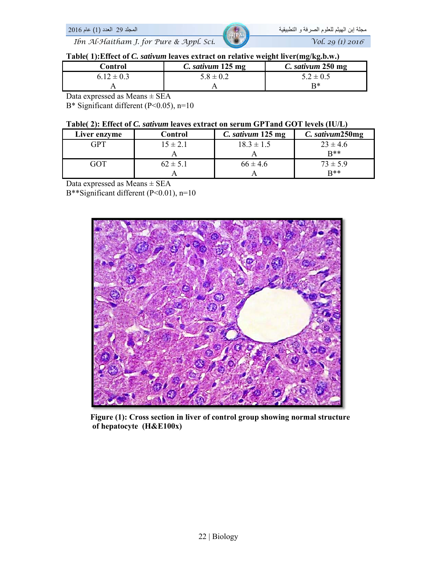



#### **Table( 1):Effect of** *C. sativum* **leaves extract on relative weight liver(mg/kg.b.w.)**

| Control        | C. sativum 125 mg | C. sativum 250 mg |
|----------------|-------------------|-------------------|
| $6.12 \pm 0.3$ | $5.8 \pm 0.2$     | $5.2 \pm 0.5$     |
|                |                   | R∗                |

Data expressed as Means ± SEA

B\* Significant different (P<0.05), n=10

#### **Table( 2): Effect of** *C. sativum* **leaves extract on serum GPTand GOT levels (IU/L)**

| Liver enzyme | Control      | C. sativum 125 mg | C. sativum250mg |
|--------------|--------------|-------------------|-----------------|
| GPT          | $15 \pm 2.1$ | $18.3 \pm 1.5$    | $23 \pm 4.6$    |
|              |              |                   | $R**$           |
| GOT          | $62 \pm 5.1$ | $66 \pm 4.6$      | $73 \pm 5.9$    |
|              |              |                   | $R**$           |

Data expressed as Means ± SEA

B\*\*Significant different (P<0.01), n=10



 **Figure (1): Cross section in liver of control group showing normal structure of hepatocyte (H&E100x)**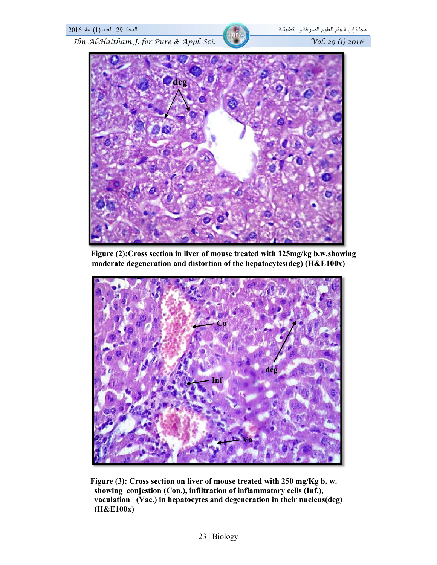

 **Figure (2):Cross section in liver of mouse treated with 125mg/kg b.w.showing moderate degeneration and distortion of the hepatocytes(deg) (H&E100x)**



 **Figure (3): Cross section on liver of mouse treated with 250 mg/Kg b. w. showing conjestion (Con.), infiltration of inflammatory cells (Inf.), vaculation (Vac.) in hepatocytes and degeneration in their nucleus(deg) (H&E100x)**